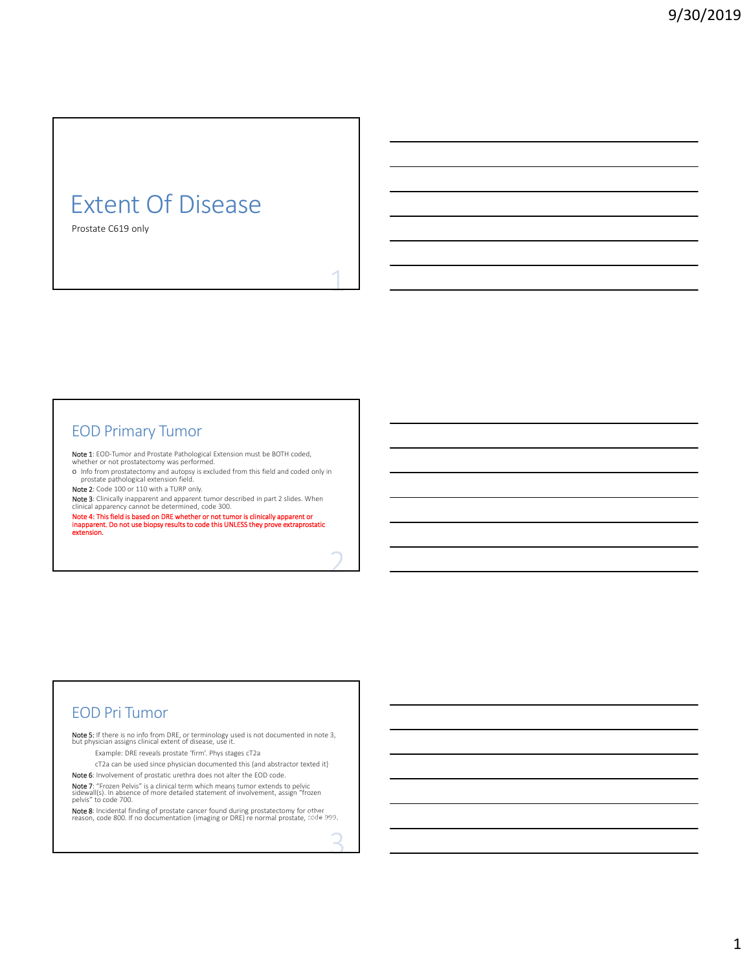# Extent Of Disease

Prostate C619 only

### EOD Primary Tumor

**Note 1**: EOD-Tumor and Prostate Pathological Extension must be BOTH coded,<br>whether or not prostatectomy was performed.

o Info from prostatectomy and autopsy is excluded from this field and coded only in prostate pathological extension field.

Note 2: Code 100 or 110 with a TURP only.

Note 3: Clinically inapparent and apparent tumor described in part 2 slides. When

clinical apparency cannot be determined, code 300.<br>**Note 4: This field is based on DRE whether or not tumor is clinically apparent or<br>inapparent. Do not use biopsy results to code this UNLESS they prove extraprostatic<br>exte** 

## EOD Pri Tumor

**Note 5:** If there is no info from DRE, or terminology used is not documented in note 3,<br>but physician assigns clinical extent of disease, use it.

Example: DRE reveals prostate 'firm'. Phys stages cT2a

cT2a can be used since physician documented this {and abstractor texted it}

Note 6: Involvement of prostatic urethra does not alter the EOD code.

**Note 7:** "Frozen Pelvis" is a clinical term which means tumor extends to pelvic<br>sidewall(s). In absence of more detailed statement of involvement, assign "frozen<br>pelvis" to code 700.

**Note 8**: Incidental finding of prostate cancer found during prostatectomy for other<br>reason, code 800. If no documentation (imaging or DRE) re normal prostate, code 999.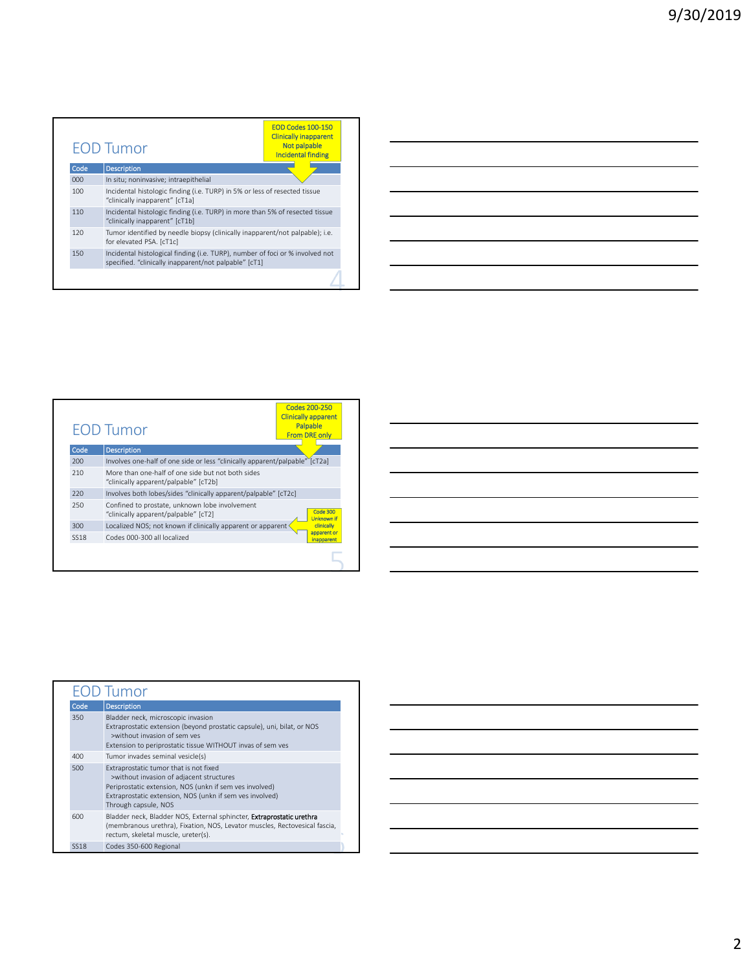<u> 1989 - Johann Barn, mars ann an t-Amhain Aonaich an t-Aonaich an t-Aonaich ann an t-Aonaich ann an t-Aonaich</u>

|      | <b>EOD Tumor</b>                                                                                                                       | <b>EOD Codes 100-150</b><br><b>Clinically inapparent</b><br><b>Not palpable</b><br><b>Incidental finding</b> |
|------|----------------------------------------------------------------------------------------------------------------------------------------|--------------------------------------------------------------------------------------------------------------|
| Code | <b>Description</b>                                                                                                                     |                                                                                                              |
| 000  | In situ; noninvasive; intraepithelial                                                                                                  |                                                                                                              |
| 100  | Incidental histologic finding (i.e. TURP) in 5% or less of resected tissue<br>"clinically inapparent" [cT1a]                           |                                                                                                              |
| 110  | Incidental histologic finding (i.e. TURP) in more than 5% of resected tissue<br>"clinically inapparent" [cT1b]                         |                                                                                                              |
| 120  | Tumor identified by needle biopsy (clinically inapparent/not palpable); i.e.<br>for elevated PSA. [cT1c]                               |                                                                                                              |
| 150  | Incidental histological finding (i.e. TURP), number of foci or % involved not<br>specified. "clinically inapparent/not palpable" [cT1] |                                                                                                              |
|      |                                                                                                                                        |                                                                                                              |

| Code<br><b>Description</b><br>Involves one-half of one side or less "clinically apparent/palpable" [cT2a]<br>200<br>More than one-half of one side but not both sides<br>210<br>"clinically apparent/palpable" [cT2b]<br>Involves both lobes/sides "clinically apparent/palpable" [cT2c]<br>220<br>Confined to prostate, unknown lobe involvement<br>250<br>"clinically apparent/palpable" [cT2]<br>Localized NOS; not known if clinically apparent or apparent<br>300 | <b>EOD Tumor</b> | <b>Codes 200-250</b><br><b>Clinically apparent</b><br>Palpable<br><b>From DRE only</b> |
|------------------------------------------------------------------------------------------------------------------------------------------------------------------------------------------------------------------------------------------------------------------------------------------------------------------------------------------------------------------------------------------------------------------------------------------------------------------------|------------------|----------------------------------------------------------------------------------------|
|                                                                                                                                                                                                                                                                                                                                                                                                                                                                        |                  |                                                                                        |
|                                                                                                                                                                                                                                                                                                                                                                                                                                                                        |                  |                                                                                        |
|                                                                                                                                                                                                                                                                                                                                                                                                                                                                        |                  |                                                                                        |
|                                                                                                                                                                                                                                                                                                                                                                                                                                                                        |                  |                                                                                        |
|                                                                                                                                                                                                                                                                                                                                                                                                                                                                        |                  | <b>Code 300</b><br><b>Unknown if</b>                                                   |
|                                                                                                                                                                                                                                                                                                                                                                                                                                                                        |                  | clinically                                                                             |
| Codes 000-300 all localized<br><b>SS18</b>                                                                                                                                                                                                                                                                                                                                                                                                                             |                  | apparent or<br><b>inapparent</b>                                                       |

|             | OD Tumor                                                                                                                                                                                                                          |
|-------------|-----------------------------------------------------------------------------------------------------------------------------------------------------------------------------------------------------------------------------------|
| Code        | <b>Description</b>                                                                                                                                                                                                                |
| 350         | Bladder neck, microscopic invasion<br>Extraprostatic extension (beyond prostatic capsule), uni, bilat, or NOS<br>>without invasion of sem ves<br>Extension to periprostatic tissue WITHOUT invas of sem ves                       |
| 400         | Tumor invades seminal vesicle(s)                                                                                                                                                                                                  |
| 500         | Extraprostatic tumor that is not fixed<br>>without invasion of adjacent structures<br>Periprostatic extension, NOS (unkn if sem ves involved)<br>Extraprostatic extension, NOS (unkn if sem ves involved)<br>Through capsule, NOS |
| 600         | Bladder neck, Bladder NOS, External sphincter, Extraprostatic urethra<br>(membranous urethra), Fixation, NOS, Levator muscles, Rectovesical fascia,<br>rectum, skeletal muscle, ureter(s).                                        |
| <b>SS18</b> | Codes 350-600 Regional                                                                                                                                                                                                            |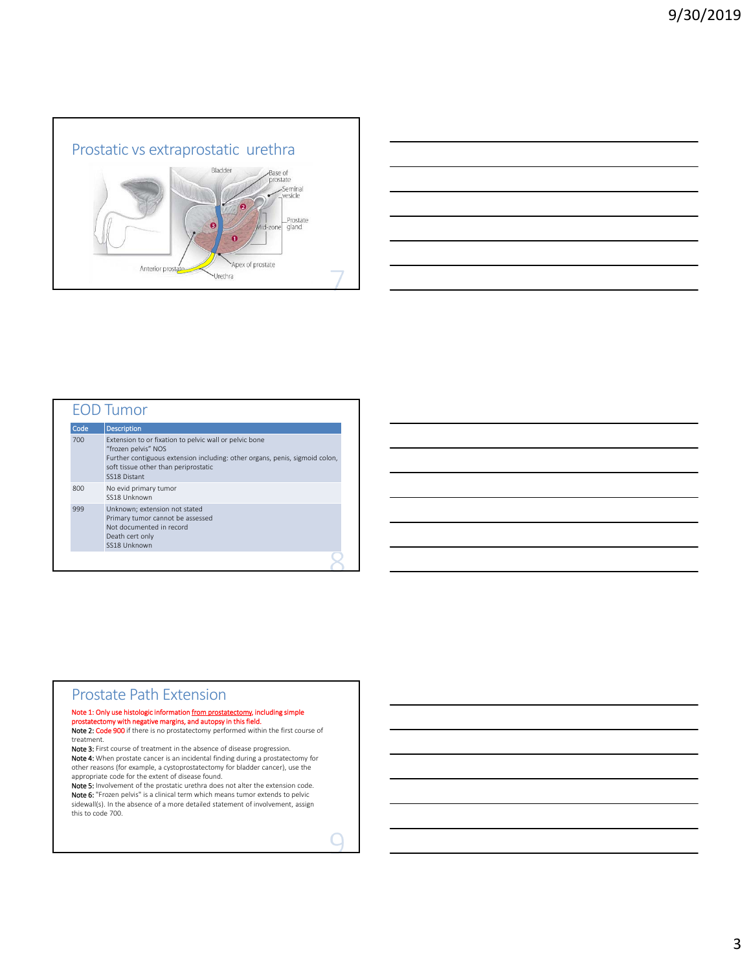



| <b>EOD Tumor</b> |                                                                                                                                                                                                                      |  |  |  |
|------------------|----------------------------------------------------------------------------------------------------------------------------------------------------------------------------------------------------------------------|--|--|--|
| Code             | <b>Description</b>                                                                                                                                                                                                   |  |  |  |
| 700              | Extension to or fixation to pelvic wall or pelvic bone<br>"frozen pelvis" NOS<br>Further contiguous extension including: other organs, penis, sigmoid colon,<br>soft tissue other than periprostatic<br>SS18 Distant |  |  |  |
| 800              | No evid primary tumor<br>SS18 Unknown                                                                                                                                                                                |  |  |  |
| 999              | Unknown; extension not stated<br>Primary tumor cannot be assessed<br>Not documented in record<br>Death cert only<br>SS18 Unknown                                                                                     |  |  |  |

### Prostate Path Extension

# Note 1: Only use histologic information <u>from prostatectomy</u>, including simple prostatectomy with negative margins,<br>alter the state of the state of the state of the state of the state of the field.

Note 2: Code 900 if there is no prostatectomy performed within the first course of treatment.

Note 3: First course of treatment in the absence of disease progression. Note 4: When prostate cancer is an incidental finding during a prostatectomy for other reasons (for example, a cystoprostatectomy for bladder cancer), use the appropriate code for the extent of disease found.

Note 5: Involvement of the prostatic urethra does not alter the extension code. **Note 6:** "Frozen pelvis" is a clinical term which means tumor extends to pelvic<br>sidewall(s). In the absence of a more detailed statement of involvement, assign this to code 700.

Ċ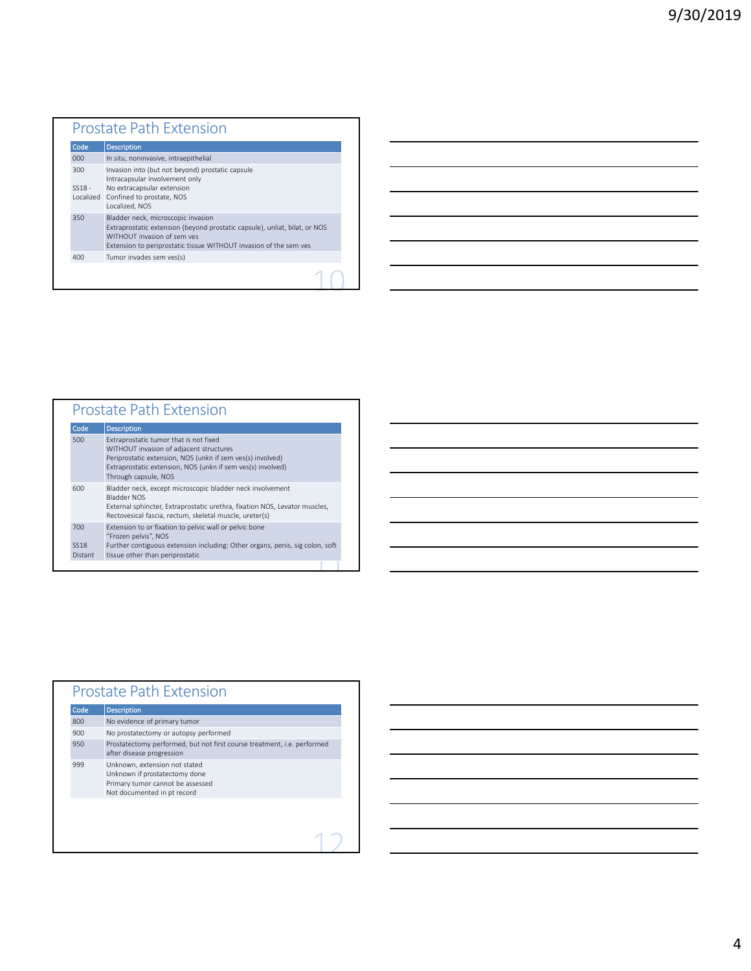| Code                         | <b>Description</b>                                                                                                                                                                                                   |
|------------------------------|----------------------------------------------------------------------------------------------------------------------------------------------------------------------------------------------------------------------|
| 000                          | In situ, noninvasive, intraepithelial                                                                                                                                                                                |
| 300<br>$SS18 -$<br>Localized | Invasion into (but not beyond) prostatic capsule<br>Intracapsular involvement only<br>No extracapsular extension<br>Confined to prostate, NOS<br>Localized, NOS                                                      |
| 350                          | Bladder neck, microscopic invasion<br>Extraprostatic extension (beyond prostatic capsule), unliat, bilat, or NOS<br>WITHOUT invasion of sem ves<br>Extension to periprostatic tissue WITHOUT invasion of the sem ves |
| 400                          | Tumor invades sem ves(s)                                                                                                                                                                                             |

| <b>Prostate Path Extension</b>                                                                                                                                                                                                         |  |  |  |
|----------------------------------------------------------------------------------------------------------------------------------------------------------------------------------------------------------------------------------------|--|--|--|
| <b>Description</b>                                                                                                                                                                                                                     |  |  |  |
| Extraprostatic tumor that is not fixed<br>WITHOUT invasion of adjacent structures<br>Periprostatic extension, NOS (unkn if sem ves(s) involved)<br>Extraprostatic extension, NOS (unkn if sem ves(s) involved)<br>Through capsule, NOS |  |  |  |
| Bladder neck, except microscopic bladder neck involvement<br><b>Bladder NOS</b><br>External sphincter, Extraprostatic urethra, fixation NOS, Levator muscles,<br>Rectovesical fascia, rectum, skeletal muscle, ureter(s)               |  |  |  |
| Extension to or fixation to pelvic wall or pelvic bone<br>"Frozen pelvis", NOS<br>Further contiguous extension including: Other organs, penis, sig colon, soft<br>tissue other than periprostatic                                      |  |  |  |
|                                                                                                                                                                                                                                        |  |  |  |

| Code | <b>Description</b>                                                                                                                |
|------|-----------------------------------------------------------------------------------------------------------------------------------|
| 800  | No evidence of primary tumor                                                                                                      |
| 900  | No prostatectomy or autopsy performed                                                                                             |
| 950  | Prostatectomy performed, but not first course treatment, i.e. performed<br>after disease progression                              |
| 999  | Unknown, extension not stated<br>Unknown if prostatectomy done<br>Primary tumor cannot be assessed<br>Not documented in pt record |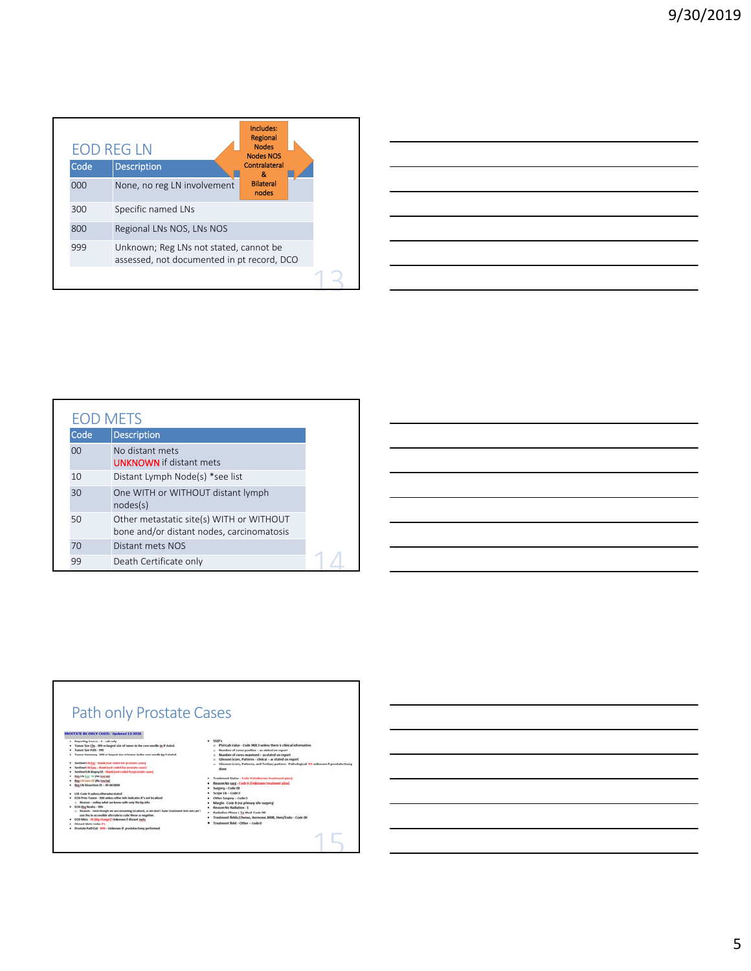|      | <b>EOD REG LN</b>                                                                    | Includes:<br>Regional<br><b>Nodes</b><br><b>Nodes NOS</b> |  |
|------|--------------------------------------------------------------------------------------|-----------------------------------------------------------|--|
| Code | <b>Description</b>                                                                   | Contralateral<br>æ.                                       |  |
| 000  | None, no reg LN involvement                                                          | <b>Bilateral</b><br>nodes                                 |  |
| 300  | Specific named LNs                                                                   |                                                           |  |
| 800  | Regional LNs NOS, LNs NOS                                                            |                                                           |  |
| 999  | Unknown; Reg LNs not stated, cannot be<br>assessed, not documented in pt record, DCO |                                                           |  |
|      |                                                                                      |                                                           |  |



| EOD METS |                                                                                       |
|----------|---------------------------------------------------------------------------------------|
| Code     | <b>Description</b>                                                                    |
| 00       | No distant mets<br><b>UNKNOWN</b> if distant mets                                     |
| 10       | Distant Lymph Node(s) *see list                                                       |
| 30       | One WITH or WITHOUT distant lymph<br>nodes(s)                                         |
| 50       | Other metastatic site(s) WITH or WITHOUT<br>bone and/or distant nodes, carcinomatosis |
| 70       | Distant mets NOS                                                                      |
| 99       | Death Certificate only                                                                |



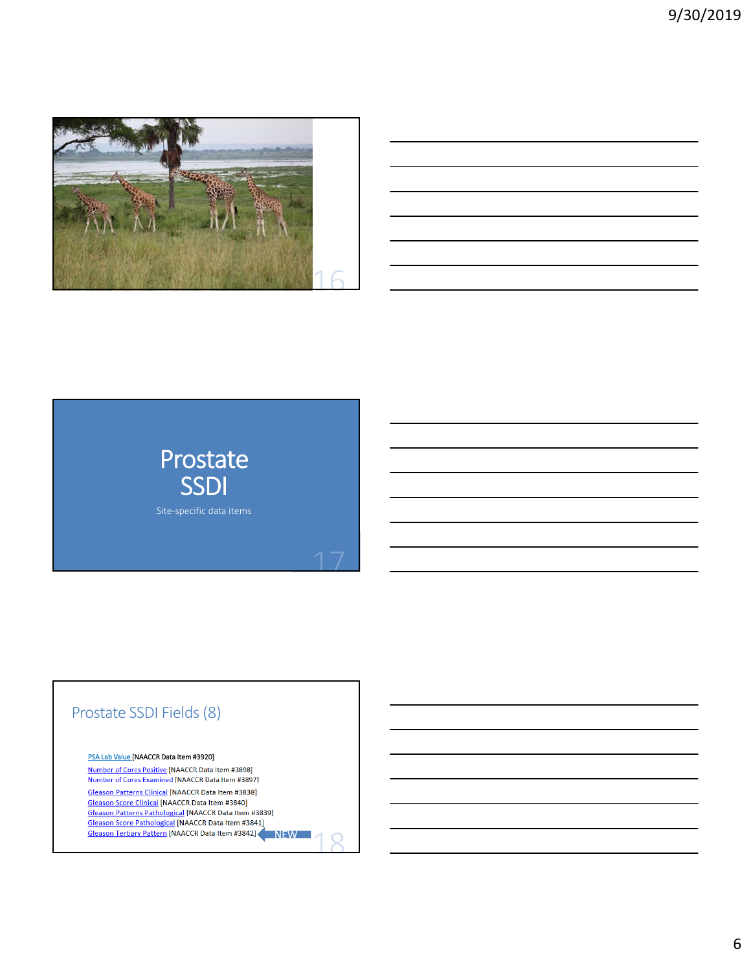

| <u> 1989 - Johann Stoff, deutscher Stoff, der Stoff, der Stoff, der Stoff, der Stoff, der Stoff, der Stoff, der S</u> |  |  |
|-----------------------------------------------------------------------------------------------------------------------|--|--|
| ,我们也不会有什么?""我们的人,我们也不会有什么?""我们的人,我们也不会有什么?""我们的人,我们也不会有什么?""我们的人,我们也不会有什么?""我们的人                                      |  |  |
| <u> 1989 - Johann Stoff, deutscher Stoff, der Stoff, der Stoff, der Stoff, der Stoff, der Stoff, der Stoff, der S</u> |  |  |
| <u> 1989 - Johann Stoff, deutscher Stoff, der Stoff, der Stoff, der Stoff, der Stoff, der Stoff, der Stoff, der S</u> |  |  |
| <u> 1989 - Andrea Santa Andrea Andrea Andrea Andrea Andrea Andrea Andrea Andrea Andrea Andrea Andrea Andrea Andr</u>  |  |  |
| <u> 1989 - Johann Stoff, amerikansk politiker (d. 1989)</u>                                                           |  |  |
|                                                                                                                       |  |  |



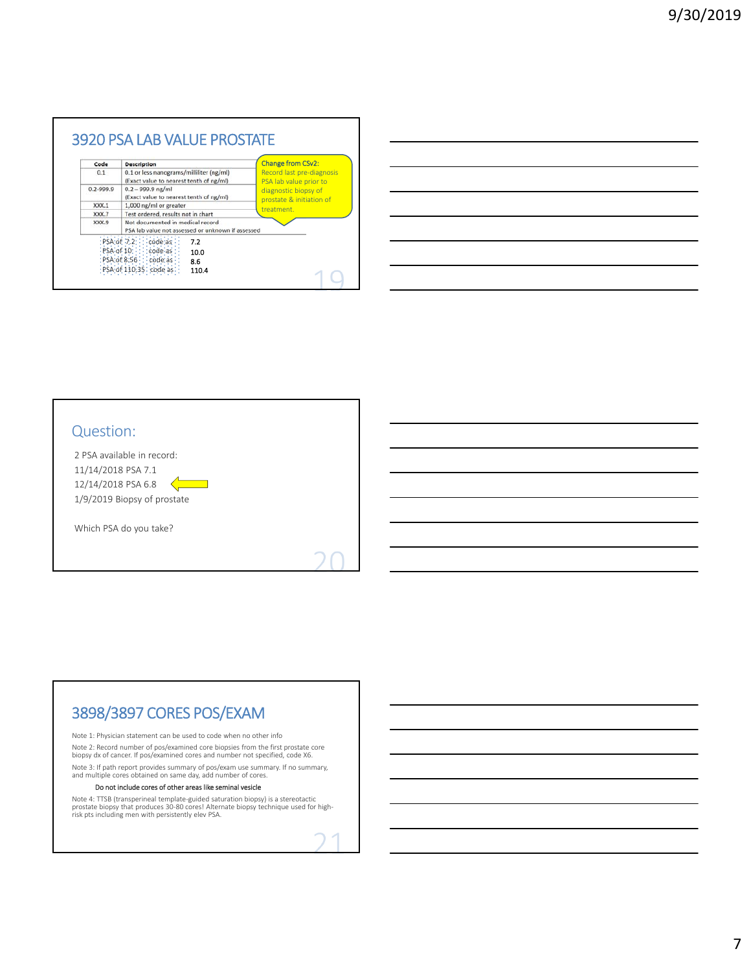| Code      | <b>Description</b>                                                                    | <b>Change from CSv2:</b>                            |
|-----------|---------------------------------------------------------------------------------------|-----------------------------------------------------|
| 0.1       | 0.1 or less nanograms/milliliter (ng/ml)<br>(Exact value to nearest tenth of ng/ml)   | Record last pre-diagnosis<br>PSA lab value prior to |
| 0.2-999.9 | $0.2 - 999.9$ ng/ml<br>(Exact value to nearest tenth of ng/ml)                        | diagnostic biopsy of<br>prostate & initiation of    |
| XXX.1     | 1,000 ng/ml or greater                                                                | treatment.                                          |
| XXX.7     | Test ordered, results not in chart                                                    |                                                     |
| XXX.9     | Not documented in medical record<br>PSA lab value not assessed or unknown if assessed |                                                     |
|           | : PSA : of: 7:2 : : : code as<br>7.2<br>PSA of 10 : : : code as<br>10.0               |                                                     |
|           | :P\$A of:8.56 : : code as: -<br>8.6                                                   |                                                     |
|           | PSA of 110.35 code as<br>110.4                                                        |                                                     |

| ,我们也不会有什么?""我们的人,我们也不会有什么?""我们的人,我们也不会有什么?""我们的人,我们也不会有什么?""我们的人,我们也不会有什么?""我们的人                                      |  |  |
|-----------------------------------------------------------------------------------------------------------------------|--|--|
|                                                                                                                       |  |  |
| <u> 1989 - Andrea Santa Andrea Andrea Andrea Andrea Andrea Andrea Andrea Andrea Andrea Andrea Andrea Andrea Andr</u>  |  |  |
| <u> 1989 - Johann Stoff, deutscher Stoff, der Stoff, der Stoff, der Stoff, der Stoff, der Stoff, der Stoff, der S</u> |  |  |
| <u> 1989 - Johann Stoff, amerikansk politiker (d. 1989)</u>                                                           |  |  |
|                                                                                                                       |  |  |

## Question:

2 PSA available in record: 11/14/2018 PSA 7.1  $12/14/2018$  PSA 6.8  $\mathbb{R}^n$ 1/9/2019 Biopsy of prostate

Which PSA do you take?

# 3898/3897 CORES POS/EXAM

Note 1: Physician statement can be used to code when no other info Note 2: Record number of pos/examined core biopsies from the first prostate core biopsy dx of cancer. If pos/examined cores and number not specified, code X6. Note 3: If path report provides summary of pos/exam use summary. If no summary, and multiple cores obtained on same day, add number of cores.

#### Do not include cores of other areas like seminal vesicle

Note 4: TTSB (transperineal template‐guided saturation biopsy) is a stereotactic prostate biopsy that produces 30‐80 cores! Alternate biopsy technique used for high‐ risk pts including men with persistently elev PSA.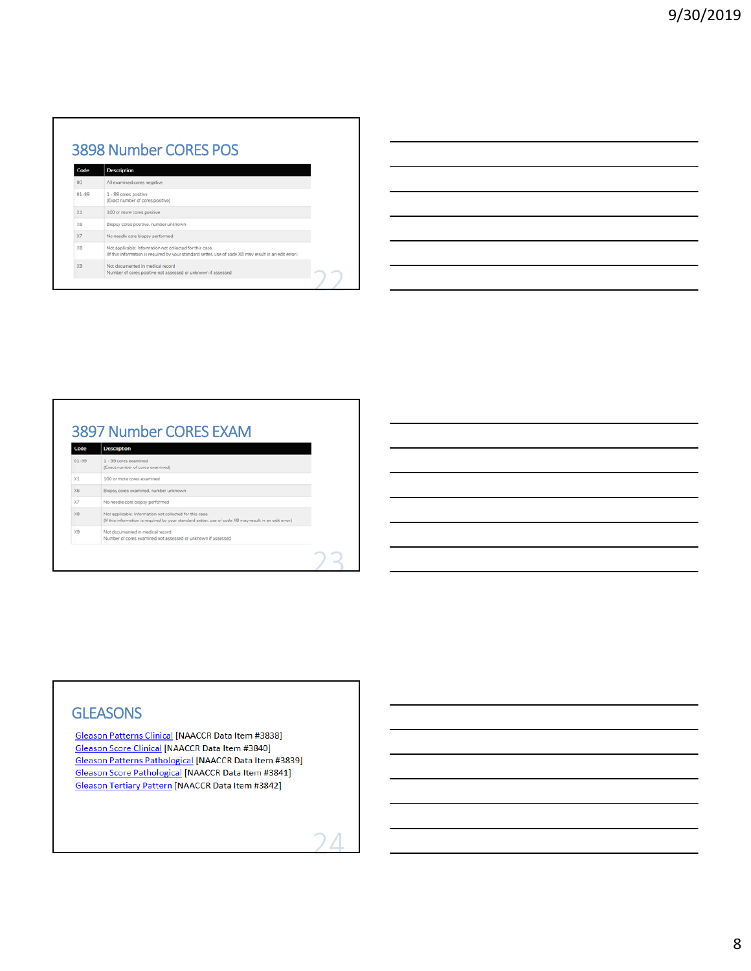# 3898 Number CORES POS

| Code       | <b>Description</b>                                                                                                                                                |
|------------|-------------------------------------------------------------------------------------------------------------------------------------------------------------------|
| 00         | All examined cores negative                                                                                                                                       |
| $01 - 99$  | 1 - 99 cores positive<br>(Exact number of cores positive)                                                                                                         |
| $\times1$  | 100 or more cores positive                                                                                                                                        |
| <b>X6</b>  | Biopsy cores positive, number unknown                                                                                                                             |
| $\times 7$ | No needle core biopsy performed                                                                                                                                   |
| <b>XB</b>  | Not applicable: Information not collected for this case<br>(If this information is required by your standard setter, use of code X8 may result in an edit error.) |
| X9         | Not documented in medical record<br>Number of cores positive not assessed or unknown if assessed                                                                  |
|            |                                                                                                                                                                   |

#### 3897 Number CORES EXAM Description Code  $1 - 99 \text{ cores examined}$ <br>(Exact number of cores examined)  $01 - 99$  $x<sub>1</sub>$ 100 or more cores examined  $\times 6$ Biopsy cores examined, number unk  $\times$ No needle core biopsy performed  $\times 8$ Not applicable: Information not collected for this case<br>(If this information is required by your standard setter, use of code XB may result in an edit error.) X9 Not documented in medical record<br>Number of cores examined not assessed or unknown if assessed 2

# **GLEASONS**

**Gleason Patterns Clinical [NAACCR Data Item #3838] Gleason Score Clinical [NAACCR Data Item #3840] Gleason Patterns Pathological [NAACCR Data Item #3839] Gleason Score Pathological [NAACCR Data Item #3841]** Gleason Tertiary Pattern [NAACCR Data Item #3842]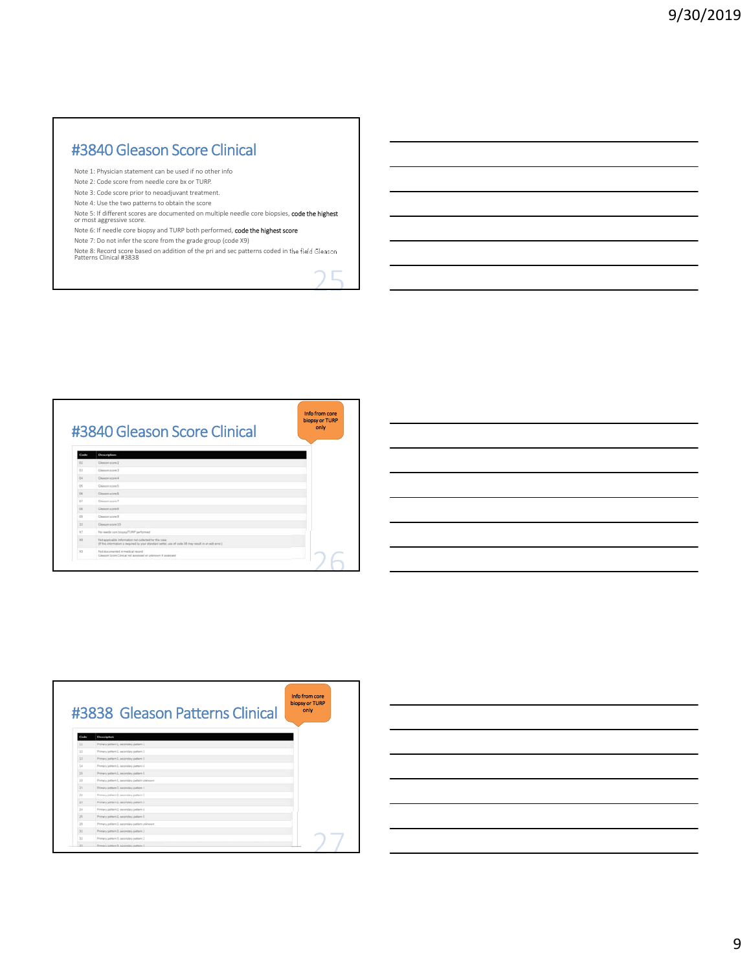# #3840 Gleason Score Clinical

Note 1: Physician statement can be used if no other info

- Note 2: Code score from needle core bx or TURP.
- Note 3: Code score prior to neoadjuvant treatment.
- Note 4: Use the two patterns to obtain the score
- Note 5: If different scores are documented on multiple needle core biopsies, **code the highest**<br>or most aggressive score.
- Note 6: If needle core biopsy and TURP both performed, code the highest score
- Note 7: Do not infer the score from the grade group (code X9)
- Note 8: Record score based on addition of the pri and sec patterns coded in the field Gleason Patterns Clinical #3838

ц



|                |                                                 | biopsy or TURP |
|----------------|-------------------------------------------------|----------------|
|                | #3838 Gleason Patterns Clinical                 | only           |
|                |                                                 |                |
| Circle         | Description                                     |                |
| T.             | Plenary pattern, L. Secondary pattern L.        |                |
| 12             | Firmary pattern 2, awardship pattern 2          |                |
| EE.            | Plenary pattern L. secondary pattern 3          |                |
| 14             | Premiery pattern, L. sansonalary patterns &     |                |
| 15             | Primary pattern L. Secondary pattern S          |                |
| m              | Primary pattern 3, securetary pattern unicopyr  |                |
| <b>VE</b>      | Primary pattern 2, secondary pattern 1          |                |
| $\mathbb{Z}^2$ | Frenany pattern 2, secondary pattern 2          |                |
| $\mathbb{Z}^n$ | Piertary pattern 2, sincerclary pattern 3       |                |
| $\pm i$        | Prenany partners 2, succeedary pattern it       |                |
| ж              | Printer's pattern 2, assumplie's pattern &      |                |
| $\rightarrow$  | Primary pattern 3, secondary pattern unincount. |                |
| <b>COL</b>     | Printery pattern 3, assumption pattern 3        |                |
| w              | Piervary pattern 3, becomitary pattern 2        |                |
|                | Foreign pattern 3, according pattern 3.         |                |

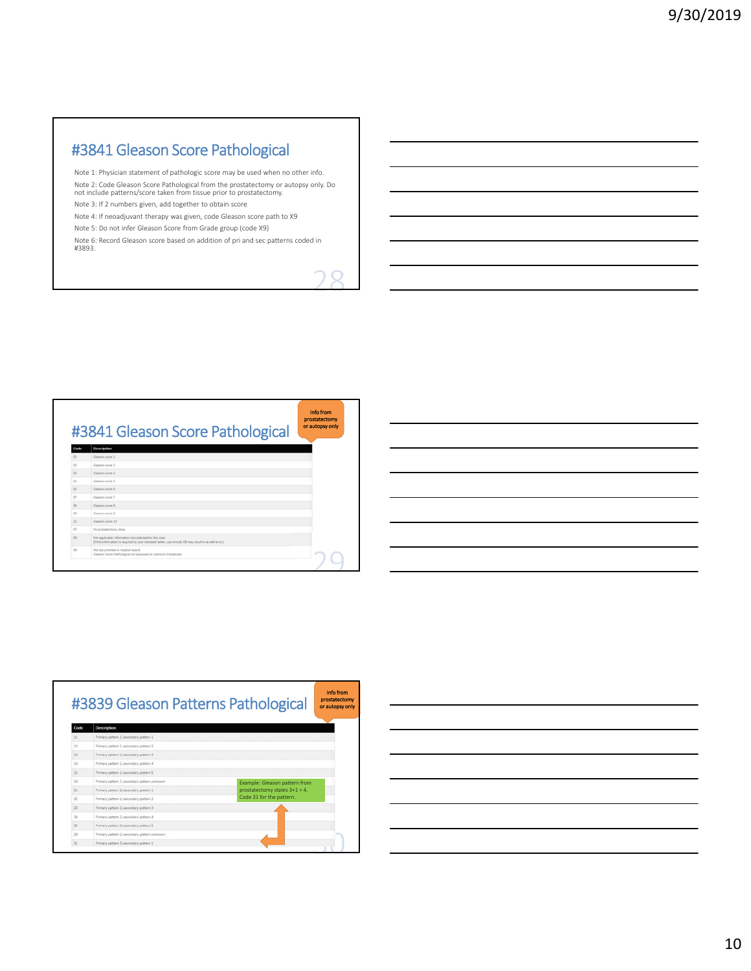# #3841 Gleason Score Pathological

Note 1: Physician statement of pathologic score may be used when no other info.

Note 2: Code Gleason Score Pathological from the prostatectomy or autopsy only. Do not include patterns/score taken from tissue prior to prostatectomy.

Note 3: If 2 numbers given, add together to obtain score

Note 4: If neoadjuvant therapy was given, code Gleason score path to X9

Note 5: Do not infer Gleason Score from Grade group (code X9)

Note 6: Record Gleason score based on addition of pri and sec patterns coded in #3893.





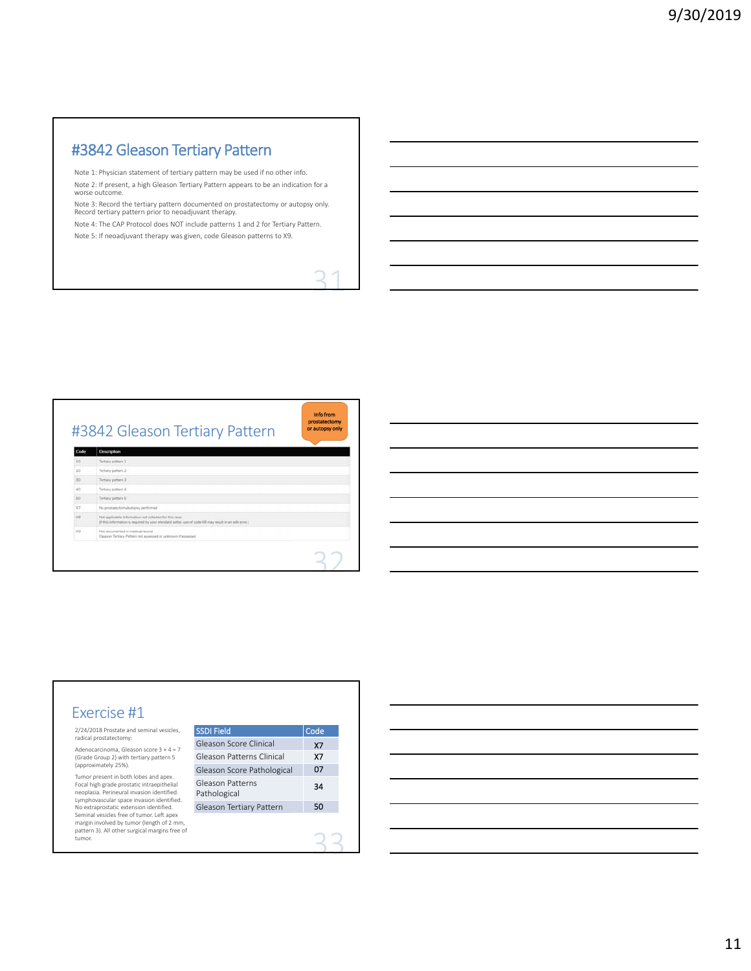# #3842 Gleason Tertiary Pattern

Note 1: Physician statement of tertiary pattern may be used if no other info. Note 2: If present, a high Gleason Tertiary Pattern appears to be an indication for a worse outcome.

Note 3: Record the tertiary pattern documented on prostatectomy or autopsy only. Record tertiary pattern prior to neoadjuvant therapy.

Note 4: The CAP Protocol does NOT include patterns 1 and 2 for Tertiary Pattern.

Note 5: If neoadjuvant therapy was given, code Gleason patterns to X9.

Info from prostatectomy or autopsy only #3842 Gleason Tertiary Pattern Code Description  $_{30}$ Tertary pattern 3  $\frac{80}{37}$ Tertary pattern 5  $\times$ plicable Infor

#### Exercise #1 2/24/2018 Prostate and seminal vesicles, radical prostatectomy: Adenocarcinoma, Gleason score 3 + 4 = 7 (Grade Group 2) with tertiary pattern 5 (approximately 25%). Tumor present in both lobes and apex. Focal high grade prostatic intraepithelial neoplasia. Perineural invasion identified. Lymphovascular space invasion identified. Gleason Score Clinical Gleason Patterns Clinical Gleason Patterns Pathological

No extraprostatic extension identified. Seminal vesicles free of tumor. Left apex margin involved by tumor (length of 2 mm, pattern 3). All other surgical margins free of tumor.

| <b>SSDI Field</b>                | Code |
|----------------------------------|------|
| Gleason Score Clinical           | X7   |
| Gleason Patterns Clinical        | Х7   |
| Gleason Score Pathological       | 07   |
| Gleason Patterns<br>Pathological | 34   |
| Gleason Tertiary Pattern         | 50   |
|                                  |      |